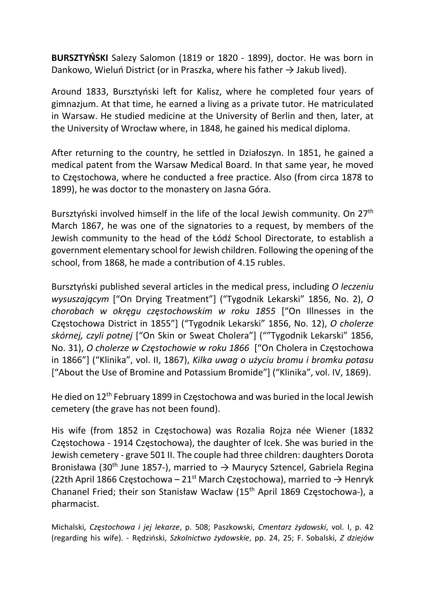BURSZTYŃSKI Salezy Salomon (1819 or 1820 - 1899), doctor. He was born in Dankowo, Wieluń District (or in Praszka, where his father  $\rightarrow$  Jakub lived).

Around 1833, Bursztyński left for Kalisz, where he completed four years of gimnazjum. At that time, he earned a living as a private tutor. He matriculated in Warsaw. He studied medicine at the University of Berlin and then, later, at the University of Wrocław where, in 1848, he gained his medical diploma.

After returning to the country, he settled in Działoszyn. In 1851, he gained a medical patent from the Warsaw Medical Board. In that same year, he moved to Częstochowa, where he conducted a free practice. Also (from circa 1878 to 1899), he was doctor to the monastery on Jasna Góra.

Bursztyński involved himself in the life of the local Jewish community. On 27<sup>th</sup> March 1867, he was one of the signatories to a request, by members of the Jewish community to the head of the Łódź School Directorate, to establish a government elementary school for Jewish children. Following the opening of the school, from 1868, he made a contribution of 4.15 rubles.

Bursztyński published several articles in the medical press, including O leczeniu wysuszającym ["On Drying Treatment"] ("Tygodnik Lekarski" 1856, No. 2), O chorobach w okręgu częstochowskim w roku 1855 ["On Illnesses in the Częstochowa District in 1855"] ("Tygodnik Lekarski" 1856, No. 12), O cholerze skórnej, czyli potnej ["On Skin or Sweat Cholera"] (""Tygodnik Lekarski" 1856, No. 31), O cholerze w Częstochowie w roku 1866 ["On Cholera in Częstochowa in 1866"] ("Klinika", vol. II, 1867), Kilka uwag o użyciu bromu i bromku potasu ["About the Use of Bromine and Potassium Bromide"] ("Klinika", vol. IV, 1869).

He died on 12<sup>th</sup> February 1899 in Częstochowa and was buried in the local Jewish cemetery (the grave has not been found).

His wife (from 1852 in Częstochowa) was Rozalia Rojza née Wiener (1832 Częstochowa - 1914 Częstochowa), the daughter of Icek. She was buried in the Jewish cemetery - grave 501 II. The couple had three children: daughters Dorota Bronisława (30<sup>th</sup> June 1857-), married to  $\rightarrow$  Maurycy Sztencel, Gabriela Regina (22th April 1866 Częstochowa – 21<sup>st</sup> March Częstochowa), married to  $\rightarrow$  Henryk Chananel Fried; their son Stanisław Wacław (15th April 1869 Częstochowa-), a pharmacist.

Michalski, Częstochowa i jej lekarze, p. 508; Paszkowski, Cmentarz żydowski, vol. I, p. 42 (regarding his wife). - Rędziński, Szkolnictwo żydowskie, pp. 24, 25; F. Sobalski, Z dziejów